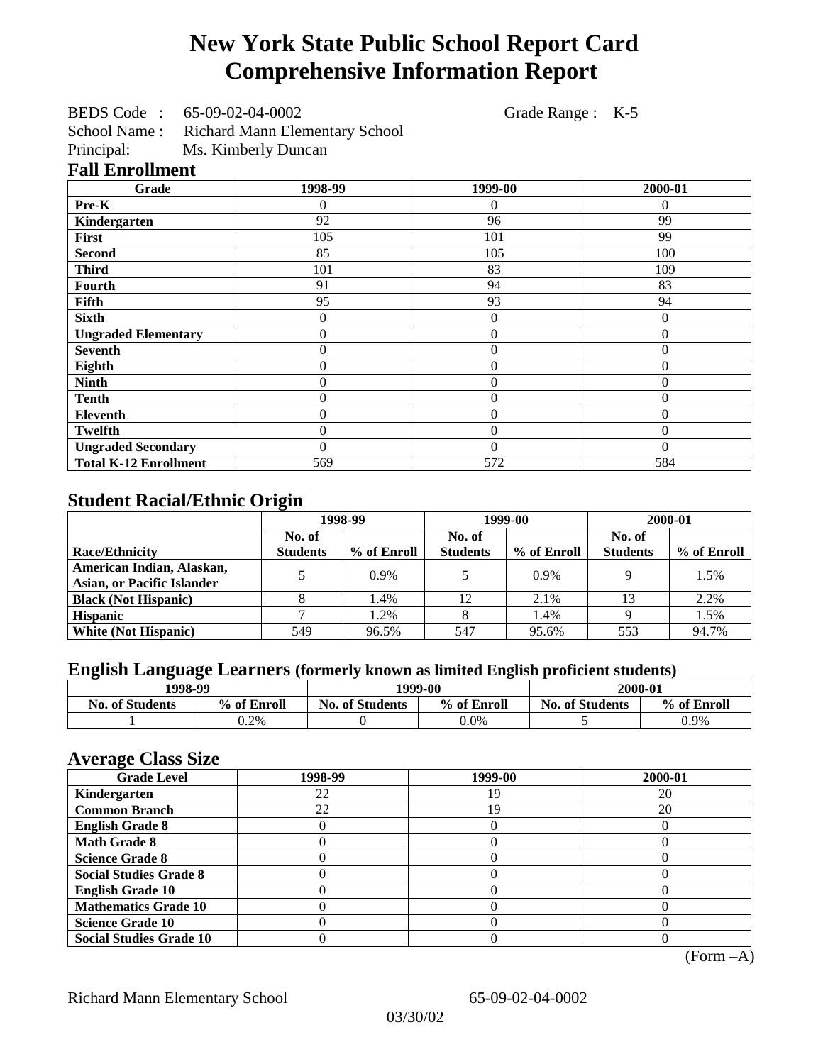# **New York State Public School Report Card Comprehensive Information Report**

BEDS Code : 65-09-02-04-0002 Grade Range : K-5

School Name : Richard Mann Elementary School

Principal: Ms. Kimberly Duncan

## **Fall Enrollment**

| Grade                        | 1998-99        | 1999-00          | 2000-01  |
|------------------------------|----------------|------------------|----------|
| Pre-K                        | 0              | $\theta$         | $\Omega$ |
| Kindergarten                 | 92             | 96               | 99       |
| First                        | 105            | 101              | 99       |
| <b>Second</b>                | 85             | 105              | 100      |
| <b>Third</b>                 | 101            | 83               | 109      |
| <b>Fourth</b>                | 91             | 94               | 83       |
| Fifth                        | 95             | 93               | 94       |
| <b>Sixth</b>                 | 0              | 0                | $\theta$ |
| <b>Ungraded Elementary</b>   | 0              | $\boldsymbol{0}$ | $\theta$ |
| <b>Seventh</b>               | $\overline{0}$ | $\overline{0}$   | $\theta$ |
| Eighth                       | $\overline{0}$ | $\overline{0}$   | $\theta$ |
| <b>Ninth</b>                 | $\overline{0}$ | $\overline{0}$   | $\theta$ |
| <b>Tenth</b>                 | $\overline{0}$ | $\overline{0}$   | $\theta$ |
| <b>Eleventh</b>              | $\overline{0}$ | $\overline{0}$   | $\theta$ |
| <b>Twelfth</b>               | $\overline{0}$ | $\overline{0}$   | $\theta$ |
| <b>Ungraded Secondary</b>    | $\theta$       | $\theta$         | $\theta$ |
| <b>Total K-12 Enrollment</b> | 569            | 572              | 584      |

## **Student Racial/Ethnic Origin**

|                                   | 1998-99         |             | 1999-00         |             | 2000-01         |             |
|-----------------------------------|-----------------|-------------|-----------------|-------------|-----------------|-------------|
|                                   | No. of          |             | No. of          |             | No. of          |             |
| <b>Race/Ethnicity</b>             | <b>Students</b> | % of Enroll | <b>Students</b> | % of Enroll | <b>Students</b> | % of Enroll |
| American Indian, Alaskan,         |                 | $0.9\%$     |                 | 0.9%        |                 | 1.5%        |
| <b>Asian, or Pacific Islander</b> |                 |             |                 |             |                 |             |
| <b>Black (Not Hispanic)</b>       |                 | 1.4%        | 12              | 2.1%        | 13              | 2.2%        |
| <b>Hispanic</b>                   |                 | 1.2%        |                 | 1.4%        |                 | 1.5%        |
| <b>White (Not Hispanic)</b>       | 549             | 96.5%       | 547             | 95.6%       | 553             | 94.7%       |

## **English Language Learners (formerly known as limited English proficient students)**

| 1998-99                |             | 1999-00                |             | 2000-01                |             |
|------------------------|-------------|------------------------|-------------|------------------------|-------------|
| <b>No. of Students</b> | % of Enroll | <b>No. of Students</b> | % of Enroll | <b>No. of Students</b> | % of Enroll |
|                        | 0.2%        |                        | $0.0\%$     |                        | 0.9%        |

#### **Average Class Size**

| ------<br><b>Grade Level</b>   | 1998-99 | 1999-00 | 2000-01 |
|--------------------------------|---------|---------|---------|
| Kindergarten                   | 22      | 19      | 20      |
| <b>Common Branch</b>           | 22      | 19      | 20      |
| <b>English Grade 8</b>         |         |         |         |
| <b>Math Grade 8</b>            |         |         |         |
| <b>Science Grade 8</b>         |         |         |         |
| <b>Social Studies Grade 8</b>  |         |         |         |
| <b>English Grade 10</b>        |         |         |         |
| <b>Mathematics Grade 10</b>    |         |         |         |
| <b>Science Grade 10</b>        |         |         |         |
| <b>Social Studies Grade 10</b> |         |         |         |

(Form –A)